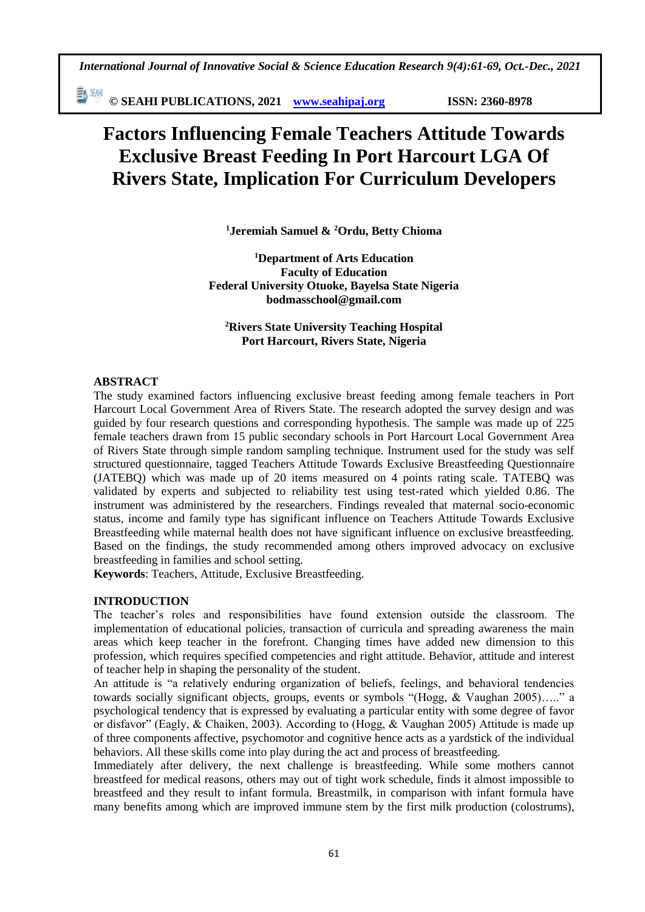*International Journal of Innovative Social & Science Education Research 9(4):61-69, Oct.-Dec., 2021*

動網 **© SEAHI PUBLICATIONS, 2021 [www.seahipaj.org](http://www.seahipaj.org/) ISSN: 2360-8978**

# **Factors Influencing Female Teachers Attitude Towards Exclusive Breast Feeding In Port Harcourt LGA Of Rivers State, Implication For Curriculum Developers**

**<sup>1</sup>Jeremiah Samuel & <sup>2</sup>Ordu, Betty Chioma**

**<sup>1</sup>Department of Arts Education Faculty of Education Federal University Otuoke, Bayelsa State Nigeria bodmasschool@gmail.com**

**<sup>2</sup>Rivers State University Teaching Hospital Port Harcourt, Rivers State, Nigeria**

# **ABSTRACT**

The study examined factors influencing exclusive breast feeding among female teachers in Port Harcourt Local Government Area of Rivers State. The research adopted the survey design and was guided by four research questions and corresponding hypothesis. The sample was made up of 225 female teachers drawn from 15 public secondary schools in Port Harcourt Local Government Area of Rivers State through simple random sampling technique. Instrument used for the study was self structured questionnaire, tagged Teachers Attitude Towards Exclusive Breastfeeding Questionnaire (JATEBQ) which was made up of 20 items measured on 4 points rating scale. TATEBQ was validated by experts and subjected to reliability test using test-rated which yielded 0.86. The instrument was administered by the researchers. Findings revealed that maternal socio-economic status, income and family type has significant influence on Teachers Attitude Towards Exclusive Breastfeeding while maternal health does not have significant influence on exclusive breastfeeding. Based on the findings, the study recommended among others improved advocacy on exclusive breastfeeding in families and school setting.

**Keywords**: Teachers, Attitude, Exclusive Breastfeeding.

# **INTRODUCTION**

The teacher's roles and responsibilities have found extension outside the classroom. The implementation of educational policies, transaction of curricula and spreading awareness the main areas which keep teacher in the forefront. Changing times have added new dimension to this profession, which requires specified competencies and right attitude. Behavior, attitude and interest of teacher help in shaping the personality of the student.

An attitude is "a relatively enduring organization of beliefs, feelings, and behavioral tendencies towards socially significant objects, groups, events or symbols "(Hogg, & Vaughan 2005)….." a psychological tendency that is expressed by evaluating a particular entity with some degree of favor or disfavor" (Eagly, & Chaiken, 2003). According to (Hogg, & Vaughan 2005) Attitude is made up of three components affective, psychomotor and cognitive hence acts as a yardstick of the individual behaviors. All these skills come into play during the act and process of breastfeeding.

Immediately after delivery, the next challenge is breastfeeding. While some mothers cannot breastfeed for medical reasons, others may out of tight work schedule, finds it almost impossible to breastfeed and they result to infant formula. Breastmilk, in comparison with infant formula have many benefits among which are improved immune stem by the first milk production (colostrums),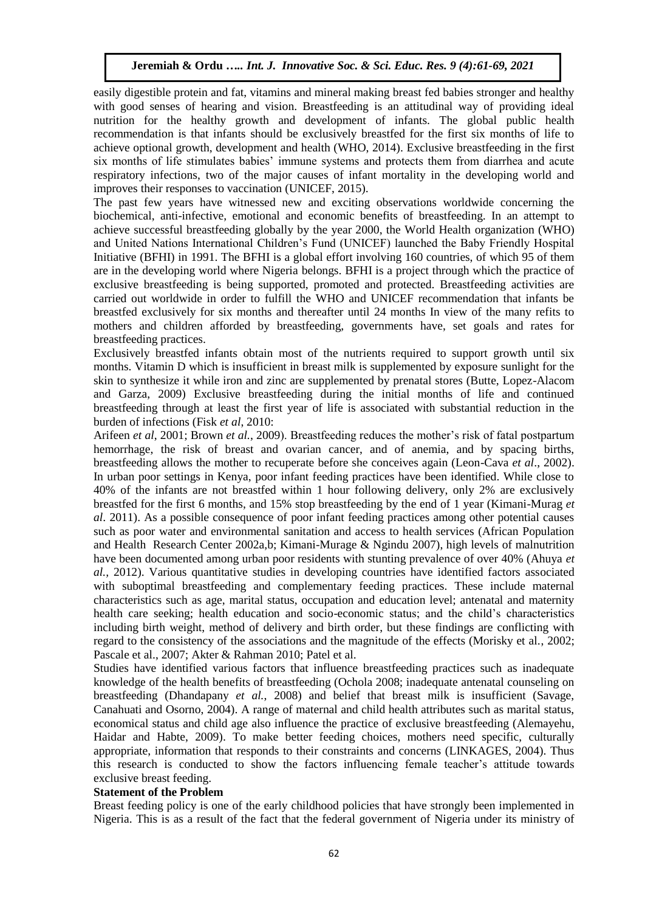easily digestible protein and fat, vitamins and mineral making breast fed babies stronger and healthy with good senses of hearing and vision. Breastfeeding is an attitudinal way of providing ideal nutrition for the healthy growth and development of infants. The global public health recommendation is that infants should be exclusively breastfed for the first six months of life to achieve optional growth, development and health (WHO, 2014). Exclusive breastfeeding in the first six months of life stimulates babies' immune systems and protects them from diarrhea and acute respiratory infections, two of the major causes of infant mortality in the developing world and improves their responses to vaccination (UNICEF, 2015).

The past few years have witnessed new and exciting observations worldwide concerning the biochemical, anti-infective, emotional and economic benefits of breastfeeding. In an attempt to achieve successful breastfeeding globally by the year 2000, the World Health organization (WHO) and United Nations International Children's Fund (UNICEF) launched the Baby Friendly Hospital Initiative (BFHI) in 1991. The BFHI is a global effort involving 160 countries, of which 95 of them are in the developing world where Nigeria belongs. BFHI is a project through which the practice of exclusive breastfeeding is being supported, promoted and protected. Breastfeeding activities are carried out worldwide in order to fulfill the WHO and UNICEF recommendation that infants be breastfed exclusively for six months and thereafter until 24 months In view of the many refits to mothers and children afforded by breastfeeding, governments have, set goals and rates for breastfeeding practices.

Exclusively breastfed infants obtain most of the nutrients required to support growth until six months. Vitamin D which is insufficient in breast milk is supplemented by exposure sunlight for the skin to synthesize it while iron and zinc are supplemented by prenatal stores (Butte, Lopez-Alacom and Garza, 2009) Exclusive breastfeeding during the initial months of life and continued breastfeeding through at least the first year of life is associated with substantial reduction in the burden of infections (Fisk *et al*, 2010:

Arifeen *et al*, 2001; Brown *et al.*, 2009). Breastfeeding reduces the mother's risk of fatal postpartum hemorrhage, the risk of breast and ovarian cancer, and of anemia, and by spacing births, breastfeeding allows the mother to recuperate before she conceives again (Leon-Cava *et al*., 2002). In urban poor settings in Kenya, poor infant feeding practices have been identified. While close to 40% of the infants are not breastfed within 1 hour following delivery, only 2% are exclusively breastfed for the first 6 months, and 15% stop breastfeeding by the end of 1 year (Kimani-Murag *et al*. 2011). As a possible consequence of poor infant feeding practices among other potential causes such as poor water and environmental sanitation and access to health services (African Population and Health Research Center 2002a,b; Kimani-Murage & Ngindu 2007), high levels of malnutrition have been documented among urban poor residents with stunting prevalence of over 40% (Ahuya *et al.,* 2012). Various quantitative studies in developing countries have identified factors associated with suboptimal breastfeeding and complementary feeding practices. These include maternal characteristics such as age, marital status, occupation and education level; antenatal and maternity health care seeking; health education and socio-economic status; and the child's characteristics including birth weight, method of delivery and birth order, but these findings are conflicting with regard to the consistency of the associations and the magnitude of the effects (Morisky et al., 2002; Pascale et al., 2007; Akter & Rahman 2010; Patel et al.

Studies have identified various factors that influence breastfeeding practices such as inadequate knowledge of the health benefits of breastfeeding (Ochola 2008; inadequate antenatal counseling on breastfeeding (Dhandapany *et al.*, 2008) and belief that breast milk is insufficient (Savage, Canahuati and Osorno, 2004). A range of maternal and child health attributes such as marital status, economical status and child age also influence the practice of exclusive breastfeeding (Alemayehu, Haidar and Habte, 2009). To make better feeding choices, mothers need specific, culturally appropriate, information that responds to their constraints and concerns (LINKAGES, 2004). Thus this research is conducted to show the factors influencing female teacher's attitude towards exclusive breast feeding.

#### **Statement of the Problem**

Breast feeding policy is one of the early childhood policies that have strongly been implemented in Nigeria. This is as a result of the fact that the federal government of Nigeria under its ministry of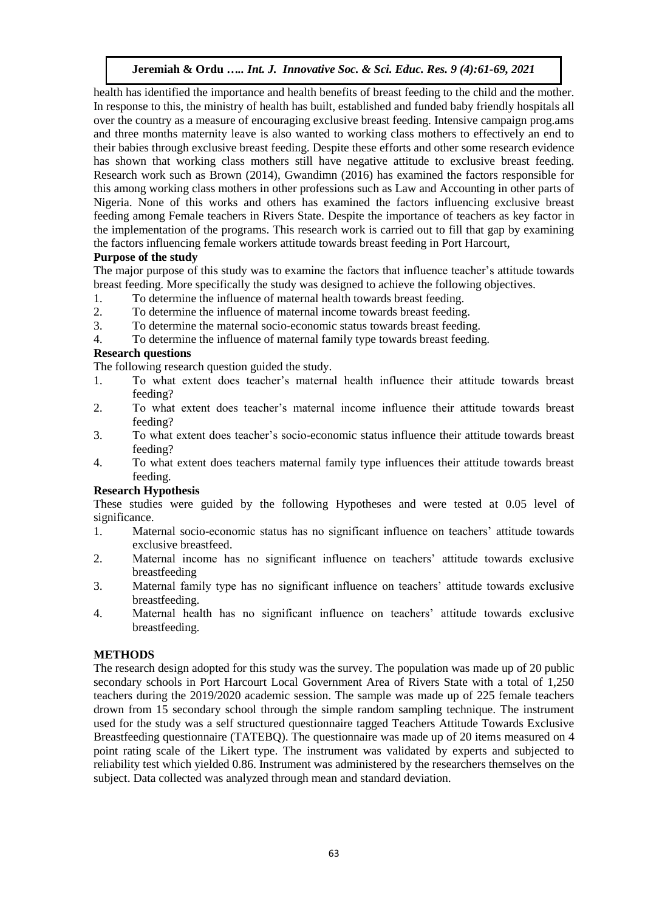health has identified the importance and health benefits of breast feeding to the child and the mother. In response to this, the ministry of health has built, established and funded baby friendly hospitals all over the country as a measure of encouraging exclusive breast feeding. Intensive campaign prog.ams and three months maternity leave is also wanted to working class mothers to effectively an end to their babies through exclusive breast feeding. Despite these efforts and other some research evidence has shown that working class mothers still have negative attitude to exclusive breast feeding. Research work such as Brown (2014), Gwandimn (2016) has examined the factors responsible for this among working class mothers in other professions such as Law and Accounting in other parts of Nigeria. None of this works and others has examined the factors influencing exclusive breast feeding among Female teachers in Rivers State. Despite the importance of teachers as key factor in the implementation of the programs. This research work is carried out to fill that gap by examining the factors influencing female workers attitude towards breast feeding in Port Harcourt,

## **Purpose of the study**

The major purpose of this study was to examine the factors that influence teacher's attitude towards breast feeding. More specifically the study was designed to achieve the following objectives.

- 1. To determine the influence of maternal health towards breast feeding.
- 2. To determine the influence of maternal income towards breast feeding.
- 3. To determine the maternal socio-economic status towards breast feeding.
- 4. To determine the influence of maternal family type towards breast feeding.

# **Research questions**

The following research question guided the study.

- 1. To what extent does teacher's maternal health influence their attitude towards breast feeding?
- 2. To what extent does teacher's maternal income influence their attitude towards breast feeding?
- 3. To what extent does teacher's socio-economic status influence their attitude towards breast feeding?
- 4. To what extent does teachers maternal family type influences their attitude towards breast feeding.

## **Research Hypothesis**

These studies were guided by the following Hypotheses and were tested at 0.05 level of significance.

- 1. Maternal socio-economic status has no significant influence on teachers' attitude towards exclusive breastfeed.
- 2. Maternal income has no significant influence on teachers' attitude towards exclusive breastfeeding
- 3. Maternal family type has no significant influence on teachers' attitude towards exclusive breastfeeding.
- 4. Maternal health has no significant influence on teachers' attitude towards exclusive breastfeeding.

# **METHODS**

The research design adopted for this study was the survey. The population was made up of 20 public secondary schools in Port Harcourt Local Government Area of Rivers State with a total of 1,250 teachers during the 2019/2020 academic session. The sample was made up of 225 female teachers drown from 15 secondary school through the simple random sampling technique. The instrument used for the study was a self structured questionnaire tagged Teachers Attitude Towards Exclusive Breastfeeding questionnaire (TATEBQ). The questionnaire was made up of 20 items measured on 4 point rating scale of the Likert type. The instrument was validated by experts and subjected to reliability test which yielded 0.86. Instrument was administered by the researchers themselves on the subject. Data collected was analyzed through mean and standard deviation.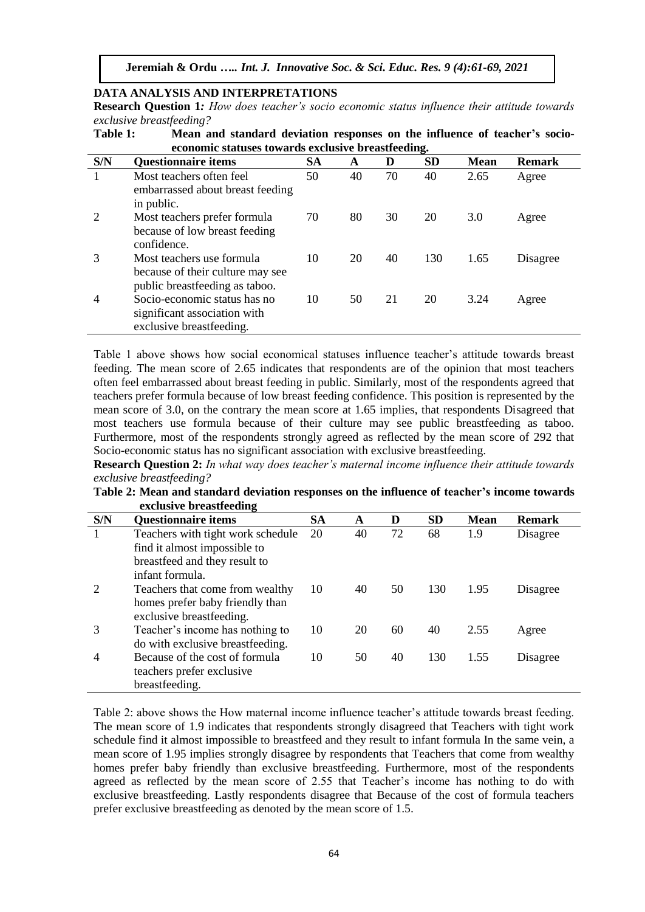# **DATA ANALYSIS AND INTERPRETATIONS**

**Research Question 1***: How does teacher's socio economic status influence their attitude towards exclusive breastfeeding?*

|     | economic statuses towards exclusive breastfeeding.                                              |           |    |    |           |             |               |  |  |  |
|-----|-------------------------------------------------------------------------------------------------|-----------|----|----|-----------|-------------|---------------|--|--|--|
| S/N | <b>Questionnaire items</b>                                                                      | <b>SA</b> | A  | D  | <b>SD</b> | <b>Mean</b> | <b>Remark</b> |  |  |  |
|     | Most teachers often feel<br>embarrassed about breast feeding<br>in public.                      | 50        | 40 | 70 | 40        | 2.65        | Agree         |  |  |  |
| 2   | Most teachers prefer formula<br>because of low breast feeding<br>confidence.                    | 70        | 80 | 30 | 20        | 3.0         | Agree         |  |  |  |
| 3   | Most teachers use formula<br>because of their culture may see<br>public breastfeeding as taboo. | 10        | 20 | 40 | 130       | 1.65        | Disagree      |  |  |  |
| 4   | Socio-economic status has no<br>significant association with<br>exclusive breastfeeding.        | 10        | 50 | 21 | 20        | 3.24        | Agree         |  |  |  |

**Table 1: Mean and standard deviation responses on the influence of teacher's socio-**

Table 1 above shows how social economical statuses influence teacher's attitude towards breast feeding. The mean score of 2.65 indicates that respondents are of the opinion that most teachers often feel embarrassed about breast feeding in public. Similarly, most of the respondents agreed that teachers prefer formula because of low breast feeding confidence. This position is represented by the mean score of 3.0, on the contrary the mean score at 1.65 implies, that respondents Disagreed that most teachers use formula because of their culture may see public breastfeeding as taboo. Furthermore, most of the respondents strongly agreed as reflected by the mean score of 292 that Socio-economic status has no significant association with exclusive breastfeeding.

**Research Question 2:** *In what way does teacher's maternal income influence their attitude towards exclusive breastfeeding?*

**Table 2: Mean and standard deviation responses on the influence of teacher's income towards exclusive breastfeeding**

| S/N | -<br><b>Questionnaire items</b>   | <b>SA</b> | A  | D  | <b>SD</b> | <b>Mean</b> | <b>Remark</b> |
|-----|-----------------------------------|-----------|----|----|-----------|-------------|---------------|
|     | Teachers with tight work schedule | 20        | 40 | 72 | 68        | 1.9         | Disagree      |
|     | find it almost impossible to      |           |    |    |           |             |               |
|     | breastfeed and they result to     |           |    |    |           |             |               |
|     | infant formula.                   |           |    |    |           |             |               |
|     | Teachers that come from wealthy   | 10        | 40 | 50 | 130       | 1.95        | Disagree      |
|     | homes prefer baby friendly than   |           |    |    |           |             |               |
|     | exclusive breastfeeding.          |           |    |    |           |             |               |
| 3   | Teacher's income has nothing to   | 10        | 20 | 60 | 40        | 2.55        | Agree         |
|     | do with exclusive breastfeeding.  |           |    |    |           |             |               |
| 4   | Because of the cost of formula    | 10        | 50 | 40 | 130       | 1.55        | Disagree      |
|     | teachers prefer exclusive         |           |    |    |           |             |               |
|     | breastfeeding.                    |           |    |    |           |             |               |

Table 2: above shows the How maternal income influence teacher's attitude towards breast feeding. The mean score of 1.9 indicates that respondents strongly disagreed that Teachers with tight work schedule find it almost impossible to breastfeed and they result to infant formula In the same vein, a mean score of 1.95 implies strongly disagree by respondents that Teachers that come from wealthy homes prefer baby friendly than exclusive breastfeeding. Furthermore, most of the respondents agreed as reflected by the mean score of 2.55 that Teacher's income has nothing to do with exclusive breastfeeding. Lastly respondents disagree that Because of the cost of formula teachers prefer exclusive breastfeeding as denoted by the mean score of 1.5.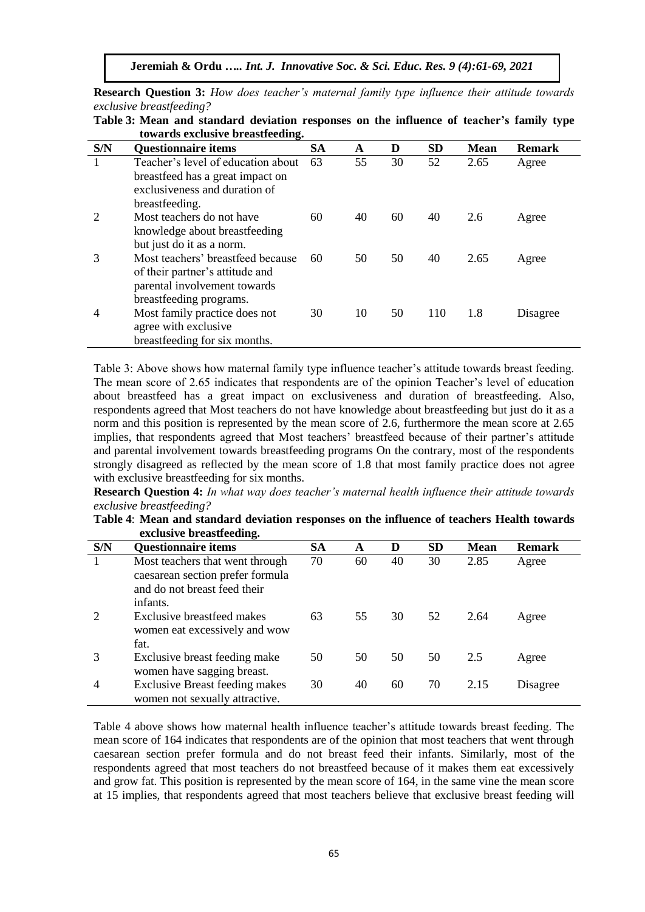**Research Question 3:** *How does teacher's maternal family type influence their attitude towards exclusive breastfeeding?*

|     | towards exclusive preastieeding.   |           |    |    |           |             |               |
|-----|------------------------------------|-----------|----|----|-----------|-------------|---------------|
| S/N | <b>Questionnaire items</b>         | <b>SA</b> | A  | D  | <b>SD</b> | <b>Mean</b> | <b>Remark</b> |
| 1   | Teacher's level of education about | 63        | 55 | 30 | 52        | 2.65        | Agree         |
|     | breastfeed has a great impact on   |           |    |    |           |             |               |
|     | exclusiveness and duration of      |           |    |    |           |             |               |
|     | breastfeeding.                     |           |    |    |           |             |               |
| 2   | Most teachers do not have          | 60        | 40 | 60 | 40        | 2.6         | Agree         |
|     | knowledge about breastfeeding      |           |    |    |           |             |               |
|     | but just do it as a norm.          |           |    |    |           |             |               |
| 3   | Most teachers' breastfeed because  | 60        | 50 | 50 | 40        | 2.65        | Agree         |
|     | of their partner's attitude and    |           |    |    |           |             |               |
|     | parental involvement towards       |           |    |    |           |             |               |
|     | breastfeeding programs.            |           |    |    |           |             |               |
| 4   | Most family practice does not      | 30        | 10 | 50 | 110       | 1.8         | Disagree      |
|     | agree with exclusive               |           |    |    |           |             |               |
|     | breastfeeding for six months.      |           |    |    |           |             |               |

**Table 3: Mean and standard deviation responses on the influence of teacher's family type towards exclusive breastfeeding.**

Table 3: Above shows how maternal family type influence teacher's attitude towards breast feeding. The mean score of 2.65 indicates that respondents are of the opinion Teacher's level of education about breastfeed has a great impact on exclusiveness and duration of breastfeeding. Also, respondents agreed that Most teachers do not have knowledge about breastfeeding but just do it as a norm and this position is represented by the mean score of 2.6, furthermore the mean score at 2.65 implies, that respondents agreed that Most teachers' breastfeed because of their partner's attitude and parental involvement towards breastfeeding programs On the contrary, most of the respondents strongly disagreed as reflected by the mean score of 1.8 that most family practice does not agree with exclusive breastfeeding for six months.

**Research Question 4:** *In what way does teacher's maternal health influence their attitude towards exclusive breastfeeding?*

| Table 4: Mean and standard deviation responses on the influence of teachers Health towards |  |  |
|--------------------------------------------------------------------------------------------|--|--|
| exclusive breastfeeding.                                                                   |  |  |

| S/N | <b>Questionnaire items</b>                                                                                      | <b>SA</b> | A  | D  | <b>SD</b> | <b>Mean</b> | <b>Remark</b> |
|-----|-----------------------------------------------------------------------------------------------------------------|-----------|----|----|-----------|-------------|---------------|
|     | Most teachers that went through<br>caesarean section prefer formula<br>and do not breast feed their<br>infants. | 70        | 60 | 40 | 30        | 2.85        | Agree         |
|     | Exclusive breastfeed makes<br>women eat excessively and wow<br>fat.                                             | 63        | 55 | 30 | 52        | 2.64        | Agree         |
|     | Exclusive breast feeding make<br>women have sagging breast.                                                     | 50        | 50 | 50 | 50        | 2.5         | Agree         |
| 4   | <b>Exclusive Breast feeding makes</b><br>women not sexually attractive.                                         | 30        | 40 | 60 | 70        | 2.15        | Disagree      |

Table 4 above shows how maternal health influence teacher's attitude towards breast feeding. The mean score of 164 indicates that respondents are of the opinion that most teachers that went through caesarean section prefer formula and do not breast feed their infants. Similarly, most of the respondents agreed that most teachers do not breastfeed because of it makes them eat excessively and grow fat. This position is represented by the mean score of 164, in the same vine the mean score at 15 implies, that respondents agreed that most teachers believe that exclusive breast feeding will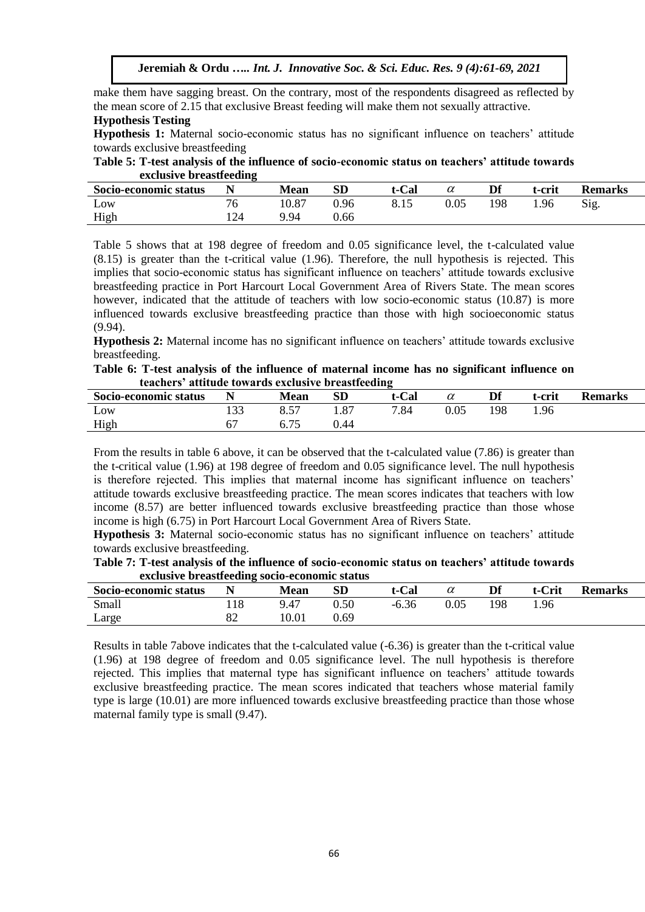make them have sagging breast. On the contrary, most of the respondents disagreed as reflected by the mean score of 2.15 that exclusive Breast feeding will make them not sexually attractive.

#### **Hypothesis Testing**

**Hypothesis 1:** Maternal socio-economic status has no significant influence on teachers' attitude towards exclusive breastfeeding

**Table 5: T-test analysis of the influence of socio-economic status on teachers' attitude towards exclusive breastfeeding**

| Socio-economic status | . . | <b>Mean</b> | SD   | t-Cal | w    | Df  | t-crit | <b>Remarks</b> |
|-----------------------|-----|-------------|------|-------|------|-----|--------|----------------|
| Low                   |     | 10.87       | 0.96 | 0. LJ | 0.05 | 198 | 1.96   | Sig.           |
| High                  |     | 9.94        | 0.66 |       |      |     |        |                |

Table 5 shows that at 198 degree of freedom and 0.05 significance level, the t-calculated value (8.15) is greater than the t-critical value (1.96). Therefore, the null hypothesis is rejected. This implies that socio-economic status has significant influence on teachers' attitude towards exclusive breastfeeding practice in Port Harcourt Local Government Area of Rivers State. The mean scores however, indicated that the attitude of teachers with low socio-economic status (10.87) is more influenced towards exclusive breastfeeding practice than those with high socioeconomic status (9.94).

**Hypothesis 2:** Maternal income has no significant influence on teachers' attitude towards exclusive breastfeeding.

**Table 6: T-test analysis of the influence of maternal income has no significant influence on teachers' attitude towards exclusive breastfeeding**

| Socio-economic status |       | <b>Mean</b> | SD   | t-Cal |          | Df  | t-crit | <b>Remarks</b> |
|-----------------------|-------|-------------|------|-------|----------|-----|--------|----------------|
| Low                   | 1 J J |             | 1.87 | 7.84  | $0.05\,$ | 198 | 1.96   |                |
| High                  |       | v. 1 J      | 0.44 |       |          |     |        |                |
|                       |       |             |      |       |          |     |        |                |

From the results in table 6 above, it can be observed that the t-calculated value (7.86) is greater than the t-critical value (1.96) at 198 degree of freedom and 0.05 significance level. The null hypothesis is therefore rejected. This implies that maternal income has significant influence on teachers' attitude towards exclusive breastfeeding practice. The mean scores indicates that teachers with low income (8.57) are better influenced towards exclusive breastfeeding practice than those whose income is high (6.75) in Port Harcourt Local Government Area of Rivers State.

**Hypothesis 3:** Maternal socio-economic status has no significant influence on teachers' attitude towards exclusive breastfeeding.

| Table 7: T-test analysis of the influence of socio-economic status on teachers' attitude towards |  |
|--------------------------------------------------------------------------------------------------|--|
| exclusive breastfeeding socio-economic status                                                    |  |

| $\frac{1}{2} \left( \frac{1}{2} \left( \frac{1}{2} \right) + \frac{1}{2} \left( \frac{1}{2} \right) + \frac{1}{2} \left( \frac{1}{2} \right) + \frac{1}{2} \left( \frac{1}{2} \right) + \frac{1}{2} \left( \frac{1}{2} \right) + \frac{1}{2} \left( \frac{1}{2} \right) + \frac{1}{2} \left( \frac{1}{2} \right) + \frac{1}{2} \left( \frac{1}{2} \right) + \frac{1}{2} \left( \frac{1}{2} \right) + \frac{1}{2} \left( \frac{1}{2} \right) +$ |    |             |           |         |      |     |        |                |
|------------------------------------------------------------------------------------------------------------------------------------------------------------------------------------------------------------------------------------------------------------------------------------------------------------------------------------------------------------------------------------------------------------------------------------------------|----|-------------|-----------|---------|------|-----|--------|----------------|
| Socio-economic status                                                                                                                                                                                                                                                                                                                                                                                                                          |    | <b>Mean</b> | <b>SD</b> | t-Cal   |      |     | t-Crit | <b>Remarks</b> |
| Small                                                                                                                                                                                                                                                                                                                                                                                                                                          |    | 9.47        | 0.50      | $-6.36$ | 0.05 | 198 | . 96   |                |
| Large                                                                                                                                                                                                                                                                                                                                                                                                                                          | OΖ | 10.01       | 0.69      |         |      |     |        |                |

Results in table 7above indicates that the t-calculated value (-6.36) is greater than the t-critical value (1.96) at 198 degree of freedom and 0.05 significance level. The null hypothesis is therefore rejected. This implies that maternal type has significant influence on teachers' attitude towards exclusive breastfeeding practice. The mean scores indicated that teachers whose material family type is large (10.01) are more influenced towards exclusive breastfeeding practice than those whose maternal family type is small (9.47).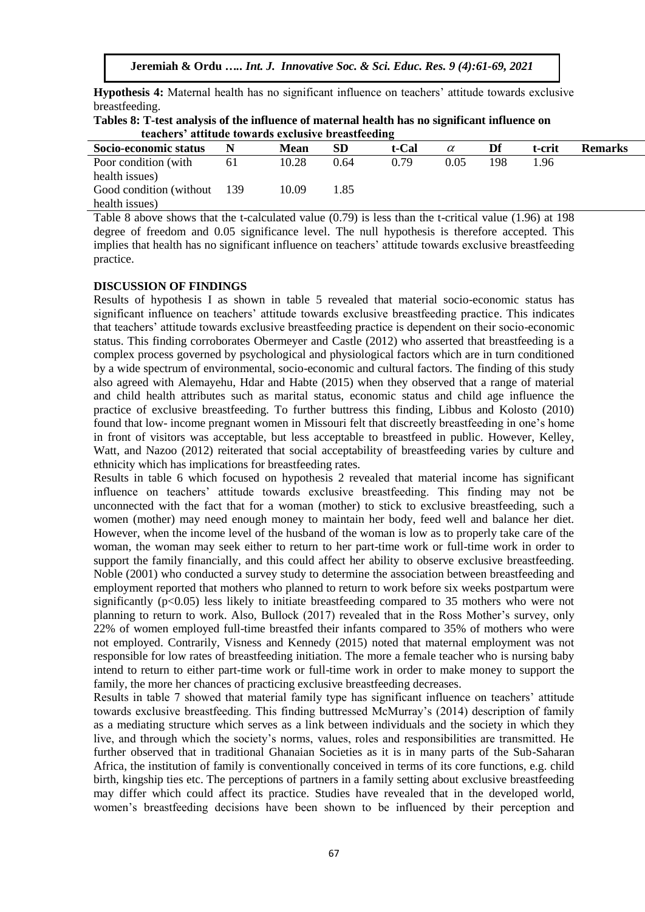**Hypothesis 4:** Maternal health has no significant influence on teachers' attitude towards exclusive breastfeeding.

| Tables 8: T-test analysis of the influence of maternal health has no significant influence on |  |
|-----------------------------------------------------------------------------------------------|--|
| teachers' attitude towards exclusive breastfeeding                                            |  |

| Socio-economic status   |       | <b>Mean</b> | SD   | t-Cal | $\alpha$ | Df  | t-crit | <b>Remarks</b> |
|-------------------------|-------|-------------|------|-------|----------|-----|--------|----------------|
| Poor condition (with    | 61    | 10.28       | 0.64 | 0.79  | 0.05     | 198 | 1.96   |                |
| health issues)          |       |             |      |       |          |     |        |                |
| Good condition (without | - 139 | 10.09       | 1.85 |       |          |     |        |                |
| health issues)          |       |             |      |       |          |     |        |                |

Table 8 above shows that the t-calculated value (0.79) is less than the t-critical value (1.96) at 198 degree of freedom and 0.05 significance level. The null hypothesis is therefore accepted. This implies that health has no significant influence on teachers' attitude towards exclusive breastfeeding practice.

#### **DISCUSSION OF FINDINGS**

Results of hypothesis I as shown in table 5 revealed that material socio-economic status has significant influence on teachers' attitude towards exclusive breastfeeding practice. This indicates that teachers' attitude towards exclusive breastfeeding practice is dependent on their socio-economic status. This finding corroborates Obermeyer and Castle (2012) who asserted that breastfeeding is a complex process governed by psychological and physiological factors which are in turn conditioned by a wide spectrum of environmental, socio-economic and cultural factors. The finding of this study also agreed with Alemayehu, Hdar and Habte (2015) when they observed that a range of material and child health attributes such as marital status, economic status and child age influence the practice of exclusive breastfeeding. To further buttress this finding, Libbus and Kolosto (2010) found that low- income pregnant women in Missouri felt that discreetly breastfeeding in one's home in front of visitors was acceptable, but less acceptable to breastfeed in public. However, Kelley, Watt, and Nazoo (2012) reiterated that social acceptability of breastfeeding varies by culture and ethnicity which has implications for breastfeeding rates.

Results in table 6 which focused on hypothesis 2 revealed that material income has significant influence on teachers' attitude towards exclusive breastfeeding. This finding may not be unconnected with the fact that for a woman (mother) to stick to exclusive breastfeeding, such a women (mother) may need enough money to maintain her body, feed well and balance her diet. However, when the income level of the husband of the woman is low as to properly take care of the woman, the woman may seek either to return to her part-time work or full-time work in order to support the family financially, and this could affect her ability to observe exclusive breastfeeding. Noble (2001) who conducted a survey study to determine the association between breastfeeding and employment reported that mothers who planned to return to work before six weeks postpartum were significantly ( $p \le 0.05$ ) less likely to initiate breastfeeding compared to 35 mothers who were not planning to return to work. Also, Bullock (2017) revealed that in the Ross Mother's survey, only 22% of women employed full-time breastfed their infants compared to 35% of mothers who were not employed. Contrarily, Visness and Kennedy (2015) noted that maternal employment was not responsible for low rates of breastfeeding initiation. The more a female teacher who is nursing baby intend to return to either part-time work or full-time work in order to make money to support the family, the more her chances of practicing exclusive breastfeeding decreases.

Results in table 7 showed that material family type has significant influence on teachers' attitude towards exclusive breastfeeding. This finding buttressed McMurray's (2014) description of family as a mediating structure which serves as a link between individuals and the society in which they live, and through which the society's norms, values, roles and responsibilities are transmitted. He further observed that in traditional Ghanaian Societies as it is in many parts of the Sub-Saharan Africa, the institution of family is conventionally conceived in terms of its core functions, e.g. child birth, kingship ties etc. The perceptions of partners in a family setting about exclusive breastfeeding may differ which could affect its practice. Studies have revealed that in the developed world, women's breastfeeding decisions have been shown to be influenced by their perception and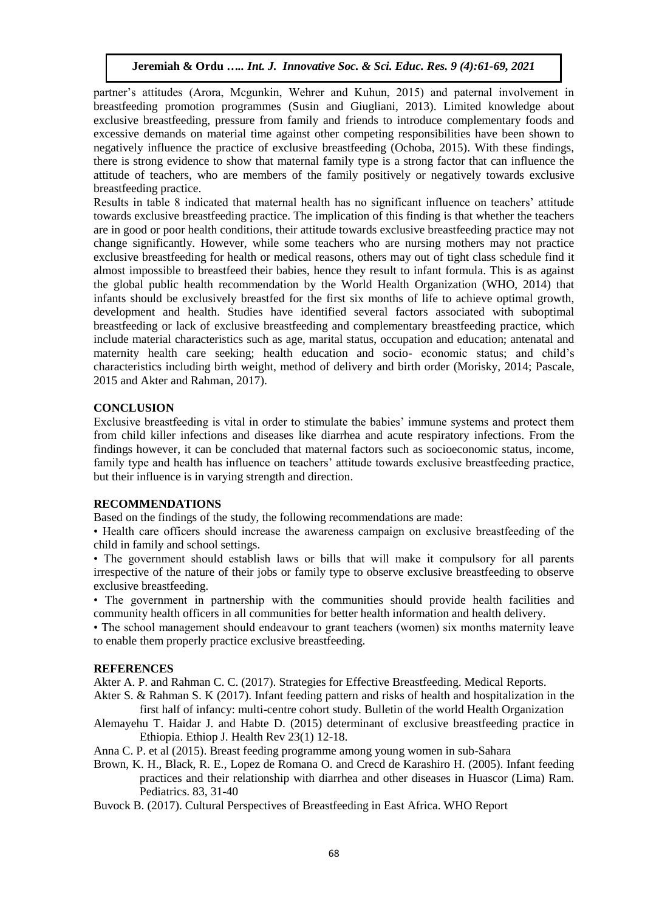partner's attitudes (Arora, Mcgunkin, Wehrer and Kuhun, 2015) and paternal involvement in breastfeeding promotion programmes (Susin and Giugliani, 2013). Limited knowledge about exclusive breastfeeding, pressure from family and friends to introduce complementary foods and excessive demands on material time against other competing responsibilities have been shown to negatively influence the practice of exclusive breastfeeding (Ochoba, 2015). With these findings, there is strong evidence to show that maternal family type is a strong factor that can influence the attitude of teachers, who are members of the family positively or negatively towards exclusive breastfeeding practice.

Results in table 8 indicated that maternal health has no significant influence on teachers' attitude towards exclusive breastfeeding practice. The implication of this finding is that whether the teachers are in good or poor health conditions, their attitude towards exclusive breastfeeding practice may not change significantly. However, while some teachers who are nursing mothers may not practice exclusive breastfeeding for health or medical reasons, others may out of tight class schedule find it almost impossible to breastfeed their babies, hence they result to infant formula. This is as against the global public health recommendation by the World Health Organization (WHO, 2014) that infants should be exclusively breastfed for the first six months of life to achieve optimal growth, development and health. Studies have identified several factors associated with suboptimal breastfeeding or lack of exclusive breastfeeding and complementary breastfeeding practice, which include material characteristics such as age, marital status, occupation and education; antenatal and maternity health care seeking; health education and socio- economic status; and child's characteristics including birth weight, method of delivery and birth order (Morisky, 2014; Pascale, 2015 and Akter and Rahman, 2017).

## **CONCLUSION**

Exclusive breastfeeding is vital in order to stimulate the babies' immune systems and protect them from child killer infections and diseases like diarrhea and acute respiratory infections. From the findings however, it can be concluded that maternal factors such as socioeconomic status, income, family type and health has influence on teachers' attitude towards exclusive breastfeeding practice, but their influence is in varying strength and direction.

## **RECOMMENDATIONS**

Based on the findings of the study, the following recommendations are made:

• Health care officers should increase the awareness campaign on exclusive breastfeeding of the child in family and school settings.

• The government should establish laws or bills that will make it compulsory for all parents irrespective of the nature of their jobs or family type to observe exclusive breastfeeding to observe exclusive breastfeeding.

• The government in partnership with the communities should provide health facilities and community health officers in all communities for better health information and health delivery.

• The school management should endeavour to grant teachers (women) six months maternity leave to enable them properly practice exclusive breastfeeding.

## **REFERENCES**

Akter A. P. and Rahman C. C. (2017). Strategies for Effective Breastfeeding. Medical Reports.

Akter S. & Rahman S. K (2017). Infant feeding pattern and risks of health and hospitalization in the first half of infancy: multi-centre cohort study. Bulletin of the world Health Organization

- Alemayehu T. Haidar J. and Habte D. (2015) determinant of exclusive breastfeeding practice in Ethiopia. Ethiop J. Health Rev 23(1) 12-18.
- Anna C. P. et al (2015). Breast feeding programme among young women in sub-Sahara
- Brown, K. H., Black, R. E., Lopez de Romana O. and Crecd de Karashiro H. (2005). Infant feeding practices and their relationship with diarrhea and other diseases in Huascor (Lima) Ram. Pediatrics. 83, 31-40

Buvock B. (2017). Cultural Perspectives of Breastfeeding in East Africa. WHO Report